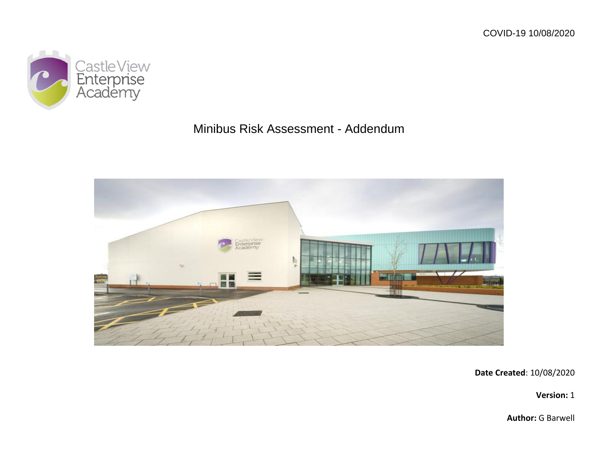

## Minibus Risk Assessment - Addendum



**Date Created**: 10/08/2020

**Version:** 1

**Author:** G Barwell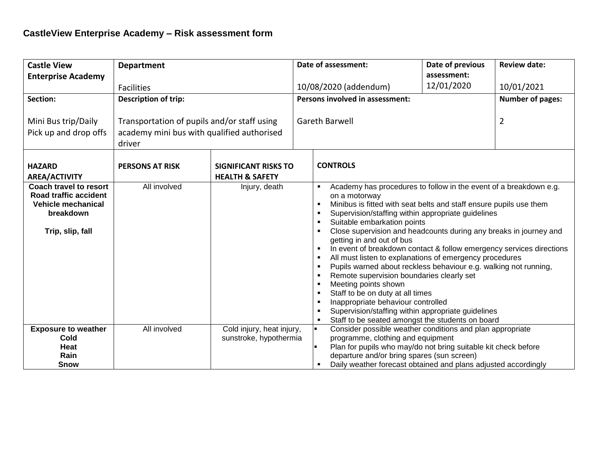| <b>Castle View</b>                                                                                                   | <b>Department</b>                                                                                   |                                                           |                                 | Date of assessment:                                                                                                                                                                                                                                                                                                                                                                                                                                                                                                                                                                                                                                                                                                                                                                                                               | Date of previous        | <b>Review date:</b> |
|----------------------------------------------------------------------------------------------------------------------|-----------------------------------------------------------------------------------------------------|-----------------------------------------------------------|---------------------------------|-----------------------------------------------------------------------------------------------------------------------------------------------------------------------------------------------------------------------------------------------------------------------------------------------------------------------------------------------------------------------------------------------------------------------------------------------------------------------------------------------------------------------------------------------------------------------------------------------------------------------------------------------------------------------------------------------------------------------------------------------------------------------------------------------------------------------------------|-------------------------|---------------------|
| <b>Enterprise Academy</b>                                                                                            |                                                                                                     |                                                           |                                 |                                                                                                                                                                                                                                                                                                                                                                                                                                                                                                                                                                                                                                                                                                                                                                                                                                   | assessment:             |                     |
|                                                                                                                      | <b>Facilities</b>                                                                                   |                                                           |                                 | 10/08/2020 (addendum)                                                                                                                                                                                                                                                                                                                                                                                                                                                                                                                                                                                                                                                                                                                                                                                                             | 12/01/2020              | 10/01/2021          |
| Section:                                                                                                             | <b>Description of trip:</b>                                                                         |                                                           | Persons involved in assessment: |                                                                                                                                                                                                                                                                                                                                                                                                                                                                                                                                                                                                                                                                                                                                                                                                                                   | <b>Number of pages:</b> |                     |
| Mini Bus trip/Daily<br>Pick up and drop offs                                                                         | Transportation of pupils and/or staff using<br>academy mini bus with qualified authorised<br>driver |                                                           | Gareth Barwell                  |                                                                                                                                                                                                                                                                                                                                                                                                                                                                                                                                                                                                                                                                                                                                                                                                                                   | $\overline{2}$          |                     |
| <b>HAZARD</b><br><b>AREA/ACTIVITY</b>                                                                                | <b>PERSONS AT RISK</b>                                                                              | <b>SIGNIFICANT RISKS TO</b><br><b>HEALTH &amp; SAFETY</b> |                                 | <b>CONTROLS</b>                                                                                                                                                                                                                                                                                                                                                                                                                                                                                                                                                                                                                                                                                                                                                                                                                   |                         |                     |
| <b>Coach travel to resort</b><br>Road traffic accident<br><b>Vehicle mechanical</b><br>breakdown<br>Trip, slip, fall | All involved                                                                                        | Injury, death                                             |                                 | Academy has procedures to follow in the event of a breakdown e.g.<br>$\blacksquare$<br>on a motorway<br>Minibus is fitted with seat belts and staff ensure pupils use them<br>Supervision/staffing within appropriate guidelines<br>Suitable embarkation points<br>Close supervision and headcounts during any breaks in journey and<br>getting in and out of bus<br>In event of breakdown contact & follow emergency services directions<br>All must listen to explanations of emergency procedures<br>Pupils warned about reckless behaviour e.g. walking not running,<br>Remote supervision boundaries clearly set<br>Meeting points shown<br>Staff to be on duty at all times<br>Inappropriate behaviour controlled<br>Supervision/staffing within appropriate guidelines<br>Staff to be seated amongst the students on board |                         |                     |
| <b>Exposure to weather</b><br>Cold<br>Heat<br>Rain<br><b>Snow</b>                                                    | All involved                                                                                        | Cold injury, heat injury,<br>sunstroke, hypothermia       |                                 | Consider possible weather conditions and plan appropriate<br>programme, clothing and equipment<br>Plan for pupils who may/do not bring suitable kit check before<br>departure and/or bring spares (sun screen)<br>Daily weather forecast obtained and plans adjusted accordingly                                                                                                                                                                                                                                                                                                                                                                                                                                                                                                                                                  |                         |                     |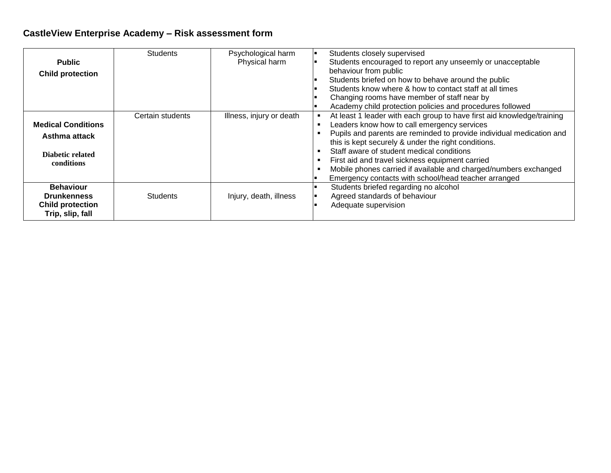## **CastleView Enterprise Academy – Risk assessment form**

| <b>Public</b><br><b>Child protection</b>                                              | <b>Students</b>  | Psychological harm<br>Physical harm | Students closely supervised<br>Students encouraged to report any unseemly or unacceptable<br>behaviour from public<br>Students briefed on how to behave around the public<br>Students know where & how to contact staff at all times<br>Changing rooms have member of staff near by                                                                                                                                                                                                                                                           |
|---------------------------------------------------------------------------------------|------------------|-------------------------------------|-----------------------------------------------------------------------------------------------------------------------------------------------------------------------------------------------------------------------------------------------------------------------------------------------------------------------------------------------------------------------------------------------------------------------------------------------------------------------------------------------------------------------------------------------|
| <b>Medical Conditions</b><br>Asthma attack<br>Diabetic related<br>conditions          | Certain students | Illness, injury or death            | Academy child protection policies and procedures followed<br>At least 1 leader with each group to have first aid knowledge/training<br>Leaders know how to call emergency services<br>Pupils and parents are reminded to provide individual medication and<br>this is kept securely & under the right conditions.<br>Staff aware of student medical conditions<br>First aid and travel sickness equipment carried<br>Mobile phones carried if available and charged/numbers exchanged<br>Emergency contacts with school/head teacher arranged |
| <b>Behaviour</b><br><b>Drunkenness</b><br><b>Child protection</b><br>Trip, slip, fall | <b>Students</b>  | Injury, death, illness              | Students briefed regarding no alcohol<br>Agreed standards of behaviour<br>Adequate supervision                                                                                                                                                                                                                                                                                                                                                                                                                                                |